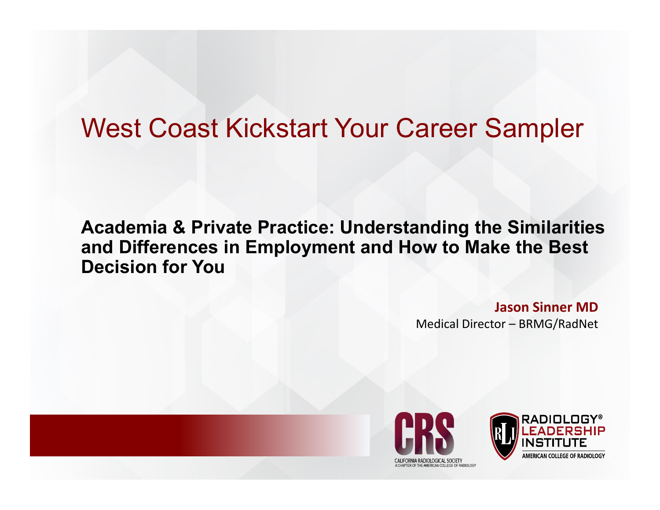### West Coast Kickstart Your Career Sampler

#### **Academia & Private Practice: Understanding the Similarities and Differences in Employment and How to Make the Best Decision for You**

**Jason Sinner MD**Medical Director – BRMG/RadNet



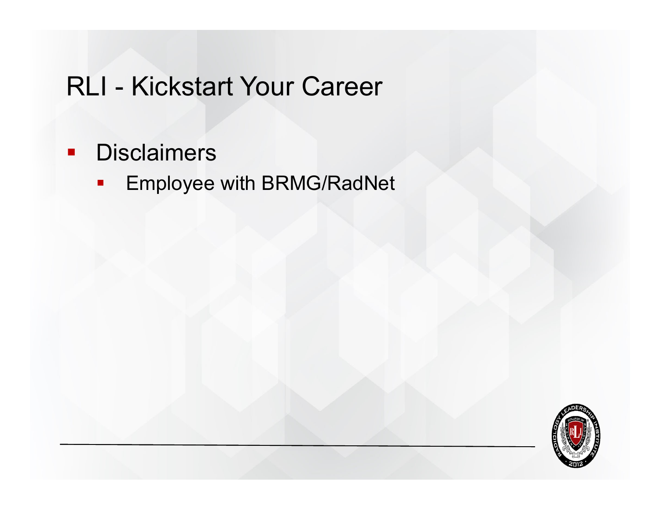#### $\blacksquare$  . **Disclaimers**

Employee with BRMG/RadNet

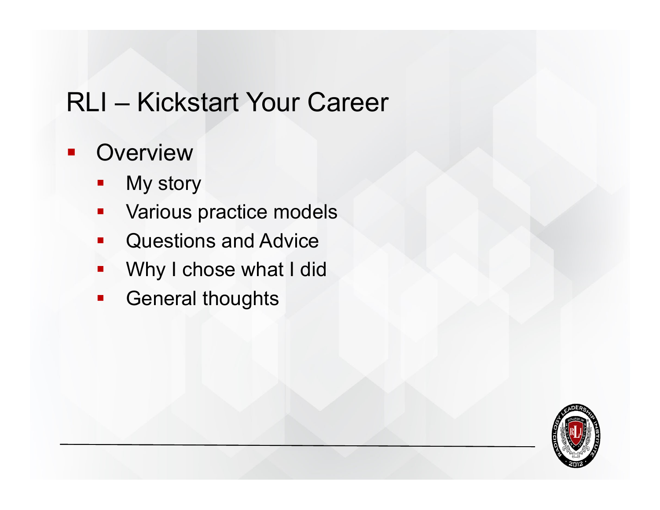#### **Overview**

- T. My story
- $\overline{\phantom{a}}$ Various practice models
- b. Questions and Advice
- $\mathcal{L}_{\mathcal{A}}$ Why I chose what I did
- $\overline{\phantom{a}}$ General thoughts

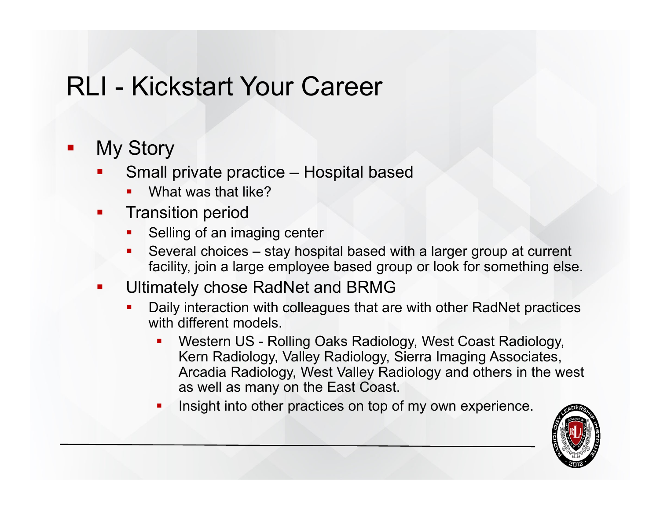#### $\mathbf{r}$ My Story

- F Small private practice – Hospital based
	- What was that like?
- F. Transition period
	- П Selling of an imaging center
	- Several choices stay hospital based with a larger group at current facility, join a large employee based group or look for something else.
- F. Ultimately chose RadNet and BRMG
	- П Daily interaction with colleagues that are with other RadNet practices with different models
		- Western US Rolling Oaks Radiology, West Coast Radiology, Kern Radiology, Valley Radiology, Sierra Imaging Associates, Arcadia Radiology, West Valley Radiology and others in the west as well as many on the East Coast.
		- П Insight into other practices on top of my own experience.

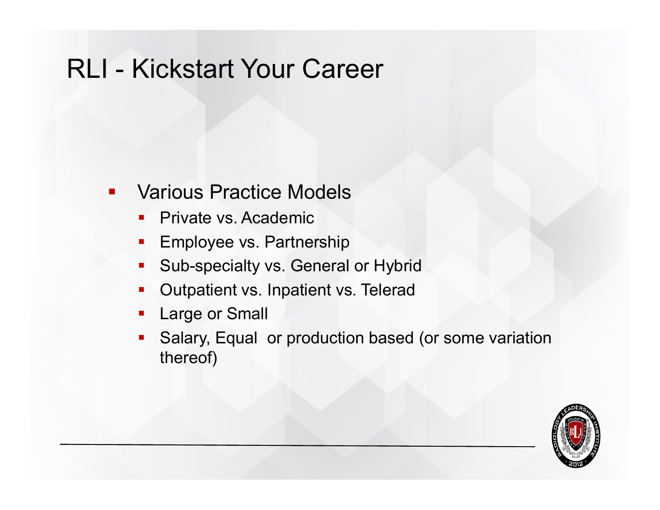- $\mathbf{r}$  Various Practice Models
	- $\blacksquare$ Private vs. Academic
	- **Employee vs. Partnership**
	- $\blacksquare$ Sub-specialty vs. General or Hybrid
	- $\blacksquare$ Outpatient vs. Inpatient vs. Telerad
	- $\blacksquare$ Large or Small
	- F. Salary, Equal or production based (or some variation thereof)

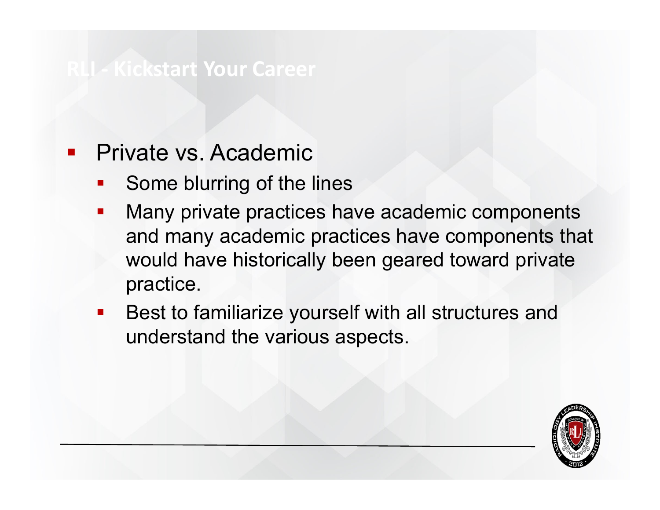#### Private vs. Academic

- T. Some blurring of the lines
- b. Many private practices have academic components and many academic practices have components that would have historically been geared toward private practice.
- T. Best to familiarize yourself with all structures and understand the various aspects.

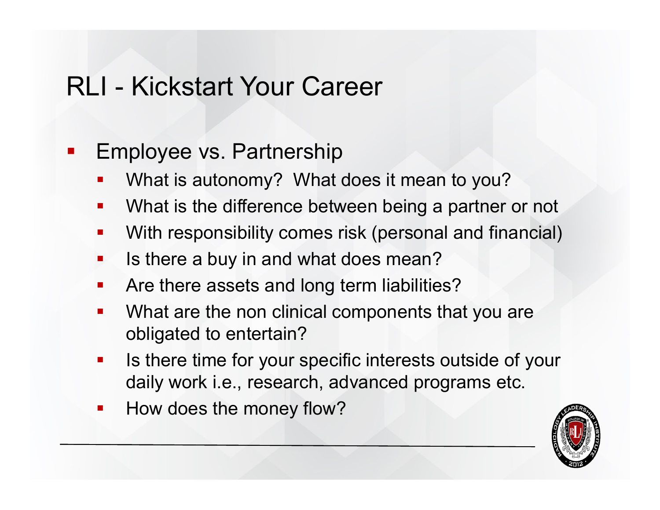$\mathcal{L}_{\mathcal{A}}$ Employee vs. Partnership

- T. What is autonomy? What does it mean to you?
- an<br>Ma What is the difference between being a partner or not
- T. With responsibility comes risk (personal and financial)
- T. Is there a buy in and what does mean?
- T. Are there assets and long term liabilities?
- an<br>Ma What are the non clinical components that you are obligated to entertain?
- an<br>Ma Is there time for your specific interests outside of your daily work i.e., research, advanced programs etc.
- $\mathcal{L}^{\text{max}}_{\text{max}}$ How does the money flow?

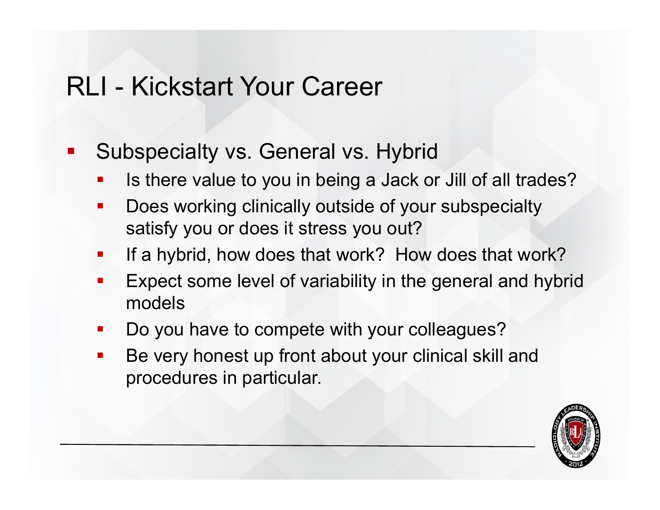- $\blacksquare$  Subspecialty vs. General vs. Hybrid
	- T. Is there value to you in being a Jack or Jill of all trades?
	- an<br>Ma Does working clinically outside of your subspecialty satisfy you or does it stress you out?
	- an<br>Ma If a hybrid, how does that work? How does that work?
	- T. Expect some level of variability in the general and hybrid models
	- an<br>Ma Do you have to compete with your colleagues?
	- $\mathcal{L}^{\text{max}}_{\text{max}}$  Be very honest up front about your clinical skill and procedures in particular.

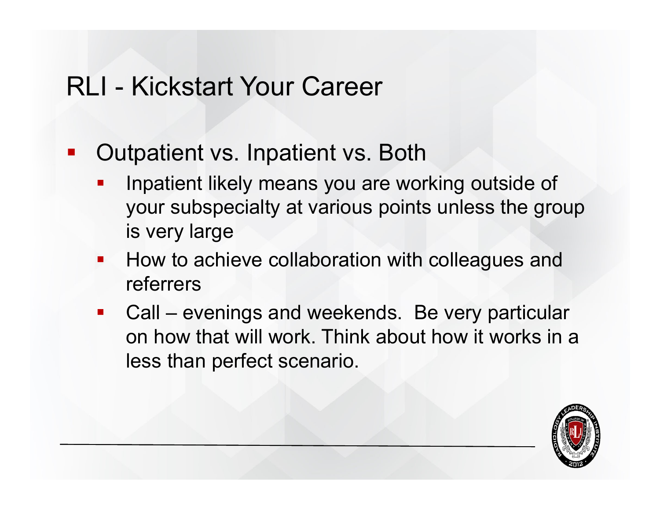- Outpatient vs. Inpatient vs. Both
	- T. Inpatient likely means you are working outside of your subspecialty at various points unless the group is very large
	- **How to achieve collaboration with colleagues and** referrers
	- T. Call – evenings and weekends. Be very particular on how that will work. Think about how it works in a less than perfect scenario.

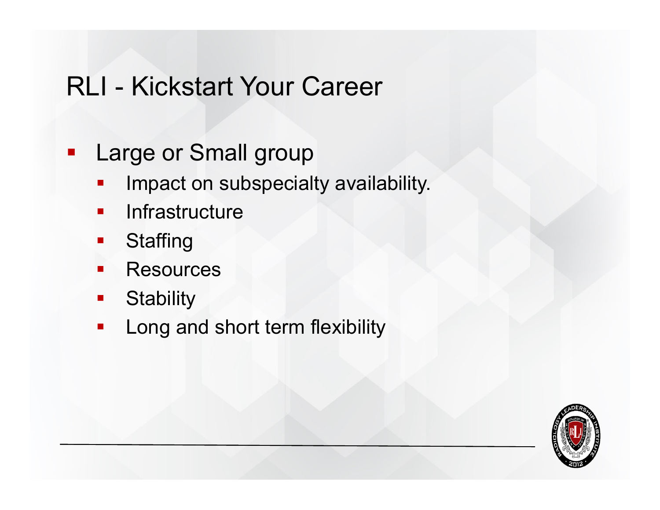- $\blacksquare$  Large or Small group
	- T. Impact on subspecialty availability.
	- b. **Infrastructure**
	- b. **Staffing**
	- $\Box$ **Resources**
	- $\overline{\phantom{a}}$ **Stability**
	- T. Long and short term flexibility

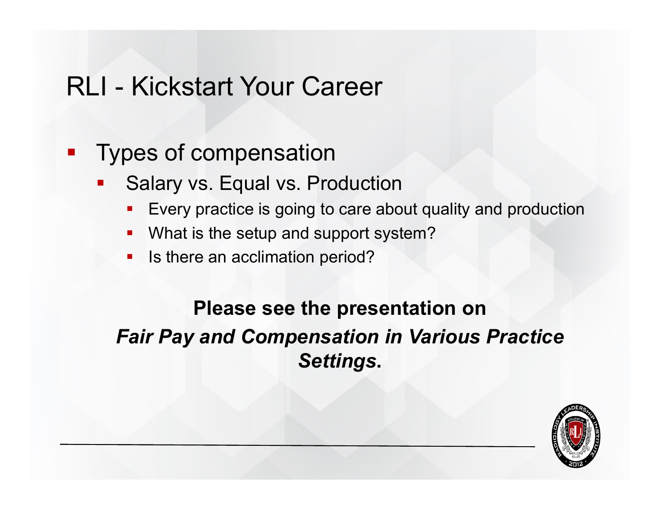#### $\mathcal{L}_{\mathcal{A}}$ Types of compensation

- T. Salary vs. Equal vs. Production
	- F Every practice is going to care about quality and production
	- $\blacksquare$ What is the setup and support system?
	- $\blacksquare$ Is there an acclimation period?

#### **Please see the presentation on**  *Fair Pay and Compensation in Various Practice Settings***.**

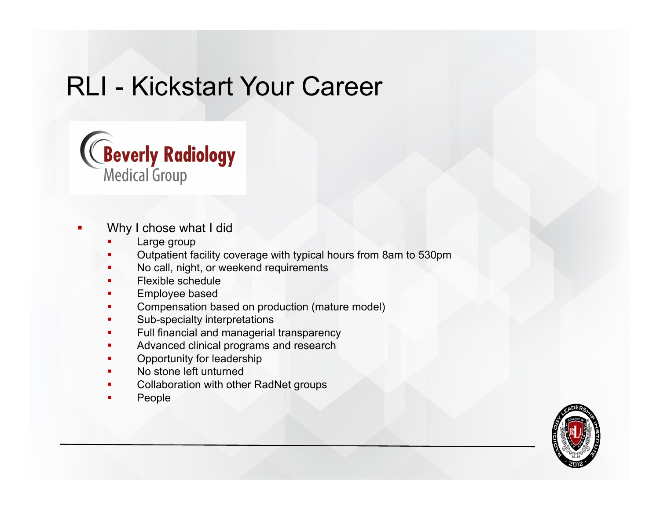

- П Why I chose what I did
	- г Large group
	- г Outpatient facility coverage with typical hours from 8am to 530pm
	- Г No call, night, or weekend requirements
	- г Flexible schedule
	- Г Employee based
	- г Compensation based on production (mature model)
	- г Sub-specialty interpretations
	- Г Full financial and managerial transparency
	- г Advanced clinical programs and research
	- г Opportunity for leadership
	- г No stone left unturned
	- г Collaboration with other RadNet groups
	- Г People

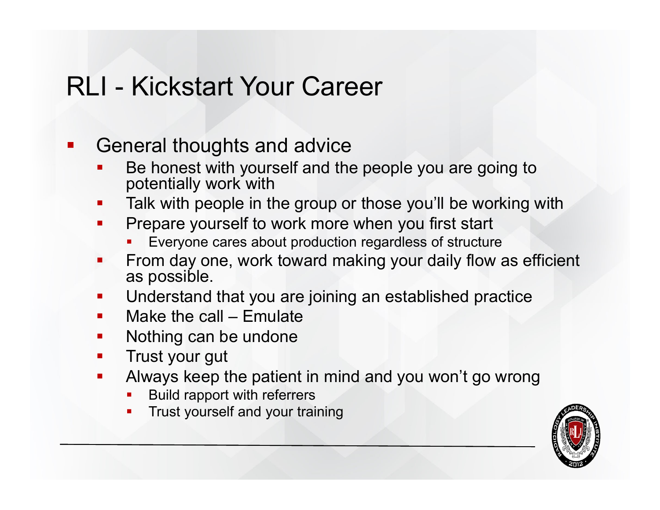T. General thoughts and advice

- F Be honest with yourself and the people you are going to potentially work with
- F. Talk with people in the group or those you'll be working with
- F. Prepare yourself to work more when you first start
	- Everyone cares about production regardless of structure
- L. From day one, work toward making your daily flow as efficient as possible.
- $\blacksquare$ Understand that you are joining an established practice
- k. Make the call – Emulate
- k. Nothing can be undone
- k. Trust your gut
- k. Always keep the patient in mind and you won't go wrong
	- П Build rapport with referrers
	- Trust yourself and your training